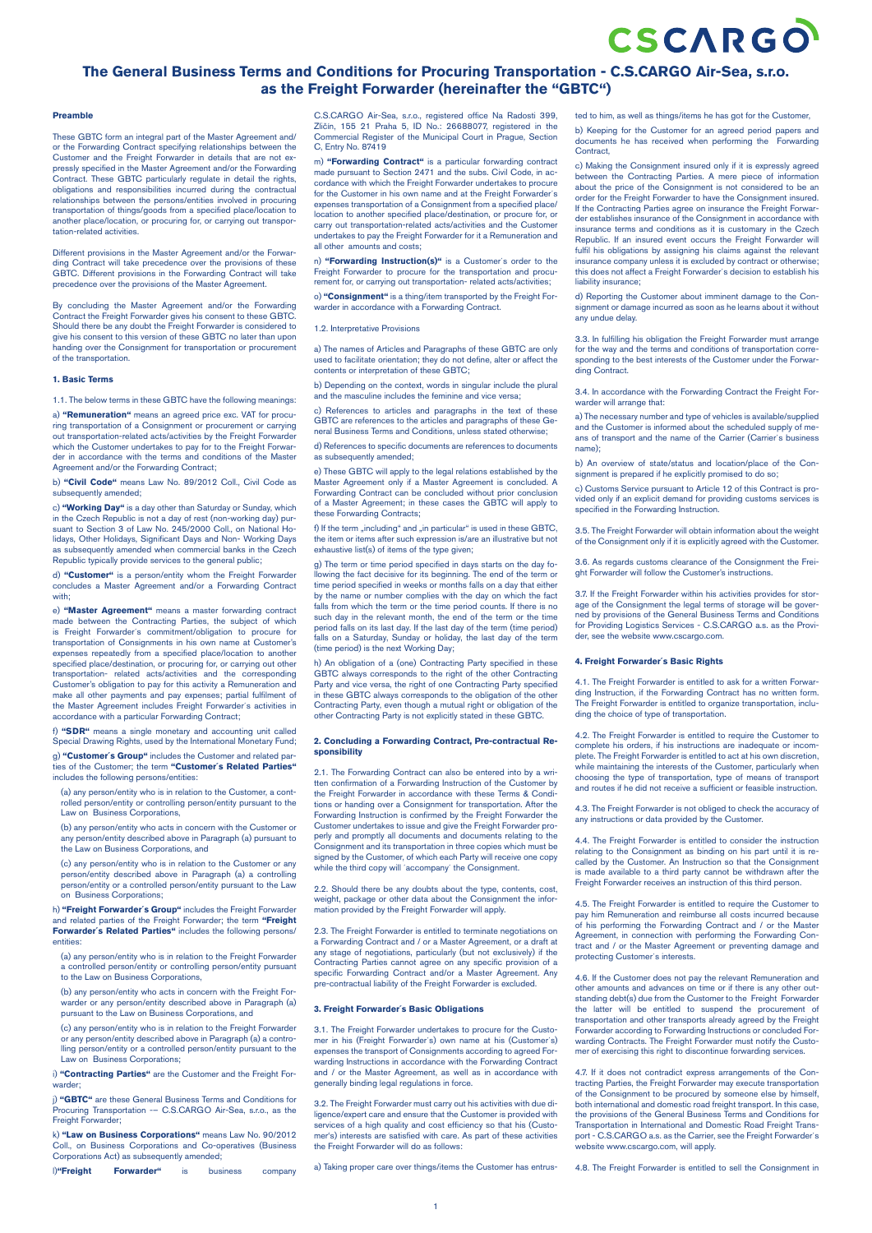# CSCARGO

# **The General Business Terms and Conditions for Procuring Transportation - C.S.CARGO Air-Sea, s.r.o. as the Freight Forwarder (hereinafter the "GBTC")**

# **Preamble**

These GBTC form an integral part of the Master Agreement and/ or the Forwarding Contract specifying relationships between the Customer and the Freight Forwarder in details that are not ex-pressly specified in the Master Agreement and/or the Forwarding Contract. These GBTC particularly regulate in detail the rights, obligations and responsibilities incurred during the contractual relationships between the persons/entities involved in procuring transportation of things/goods from a specified place/location to another place/location, or procuring for, or carrying out transportation-related activities.

Different provisions in the Master Agreement and/or the Forwarding Contract will take precedence over the provisions of these GBTC. Different provisions in the Forwarding Contract will take precedence over the provisions of the Master Agreement.

By concluding the Master Agreement and/or the Forwarding Contract the Freight Forwarder gives his consent to these GBTC. Should there be any doubt the Freight Forwarder is considered to give his consent to this version of these GBTC no later than upon handing over the Consignment for transportation or procurement of the transportation.

## **1. Basic Terms**

1.1. The below terms in these GBTC have the following meanings:

a) **"Remuneration"** means an agreed price exc. VAT for procuring transportation of a Consignment or procurement or carrying out transportation-related acts/activities by the Freight Forwarder which the Customer undertakes to pay for to the Freight Forwar-der in accordance with the terms and conditions of the Master Agreement and/or the Forwarding Contract;

b) **"Civil Code"** means Law No. 89/2012 Coll., Civil Code as sequently amended:

c) **"Working Day"** is a day other than Saturday or Sunday, which in the Czech Republic is not a day of rest (non-working day) pursuant to Section 3 of Law No. 245/2000 Coll., on National Holidays, Other Holidays, Significant Days and Non- Working Days as subsequently amended when commercial banks in the Czech Republic typically provide services to the general public;

d) **"Customer"** is a person/entity whom the Freight Forwarder concludes a Master Agreement and/or a Forwarding Contract with:

e) **"Master Agreement"** means a master forwarding contract made between the Contracting Parties, the subject of which is Freight Forwarder´s commitment/obligation to procure for transportation of Consignments in his own name at Customer's expenses repeatedly from a specified place/location to another specified place/destination, or procuring for, or carrying out other transportation- related acts/activities and the corresponding Customer's obligation to pay for this activity a Remuneration and make all other payments and pay expenses; partial fulfilment of the Master Agreement includes Freight Forwarder´s activities in accordance with a particular Forwarding Contract;

f) **"SDR"** means a single monetary and accounting unit called Special Drawing Rights, used by the International Monetary Fund;

g) **"Customer´s Group"** includes the Customer and related par-ties of the Customer; the term **"Customer´s Related Parties"** includes the following persons/entities:

(a) any person/entity who is in relation to the Customer, a controlled person/entity or controlling person/entity pursuant to the Law on Business Corporations,

(b) any person/entity who acts in concern with the Customer or any person/entity described above in Paragraph (a) pursuant to the Law on Business Corporations, and

(c) any person/entity who is in relation to the Customer or any person/entity described above in Paragraph (a) a controlling person/entity or a controlled person/entity pursuant to the Law on Business Corporations;

h) **"Freight Forwarder´s Group"** includes the Freight Forwarder and related parties of the Freight Forwarder; the term **"Freight Forwarder´s Related Parties"** includes the following persons/ entities:

(a) any person/entity who is in relation to the Freight Forwarder a controlled person/entity or controlling person/entity pursuant to the Law on Business Corporations,

(b) any person/entity who acts in concern with the Freight Forwarder or any person/entity described above in Paragraph (a) pursuant to the Law on Business Corporations, and

(c) any person/entity who is in relation to the Freight Forwarder or any person/entity described above in Paragraph (a) a contro-lling person/entity or a controlled person/entity pursuant to the Law on Business Corporations;

i) **"Contracting Parties"** are the Customer and the Freight Forwarder;

j) **"GBTC"** are these General Business Terms and Conditions for<br>Procuring Transportation -- C.S.CARGO Air-Sea, s.r.o., as the<br>Freight Forwarder;

k) **"Law on Business Corporations"** means Law No. 90/2012 Coll., on Business Corporations and Co-operatives (Business Corporations Act) as subsequently amended:

l)**"Freight Forwarder"** is business company

C.S.CARGO Air-Sea, s.r.o., registered office Na Radosti 399, Zličín, 155 21 Praha 5, ID No.: 26688077, registered in the Commercial Register of the Municipal Court in Prague, Section C, Entry No. 87419

m) **"Forwarding Contract"** is a particular forwarding contract made pursuant to Section 2471 and the subs. Civil Code, in accordance with which the Freight Forwarder undertakes to procure for the Customer in his own name and at the Freight Forwarder´s expenses transportation of a Consignment from a specified place/ location to another specified place/destination, or procure for, or carry out transportation-related acts/activities and the Customer undertakes to pay the Freight Forwarder for it a Remuneration and and costs<sup>,</sup>

n) **"Forwarding Instruction(s)"** is a Customer´s order to the Freight Forwarder to procure for the transportation and procurement for, or carrying out transportation- related acts/activities;

o) **"Consignment"** is a thing/item transported by the Freight Forwarder in accordance with a Forwarding Contract.

#### 1.2. Interpretative Provisions

a) The names of Articles and Paragraphs of these GBTC are only used to facilitate orientation; they do not define, alter or affect the contents or interpretation of these GBTC;

b) Depending on the context, words in singular include the plural and the masculine includes the feminine and vice versa;

c) References to articles and paragraphs in the text of the GBTC are references to the articles and paragraphs of these General Business Terms and Conditions, unless stated otherwise;

d) References to specific documents are references to documents as subsequently amended;

e) These GBTC will apply to the legal relations established by the Master Agreement only if a Master Agreement is concluded. A Forwarding Contract can be concluded without prior conclusion of a Master Agreement; in these cases the GBTC will apply to these Forwarding Contracts;

f) If the term  $\Box$ including" and  $\Box$ in particular" is used in these GBTC. the item or items after such expression is/are an illustrative but not exhaustive list(s) of items of the type given;

g) The term or time period specified in days starts on the day fowing the fact decisive for its beginning. The end of the term or time period specified in weeks or months falls on a day that either by the name or number complies with the day on which the fact falls from which the term or the time period counts. If there is no such day in the relevant month, the end of the term or the time period falls on its last day. If the last day of the term (time period) falls on a Saturday, Sunday or holiday, the last day of the term (time period) is the next Working Day;

h) An obligation of a (one) Contracting Party specified in these GBTC always corresponds to the right of the other Contracting Party and vice versa, the right of one Contracting Party specified in these GBTC always corresponds to the obligation of the other Contracting Party, even though a mutual right or obligation of the other Contracting Party is not explicitly stated in these GBTC.

#### **2. Concluding a Forwarding Contract, Pre-contractual Responsibility**

2.1. The Forwarding Contract can also be entered into by a written confirmation of a Forwarding Instruction of the Customer by the Freight Forwarder in accordance with these Terms & Conditions or handing over a Consignment for transportation. After the Forwarding Instruction is confirmed by the Freight Forwarder the Customer undertakes to issue and give the Freight Forwarder properly and promptly all documents and documents relating to the Consignment and its transportation in three copies which must be signed by the Customer, of which each Party will receive one copy while the third copy will ´accompany´ the Consignment.

2.2. Should there be any doubts about the type, contents, cost, weight, package or other data about the Consignment the information provided by the Freight Forwarder will apply.

2.3. The Freight Forwarder is entitled to terminate negotiations on a Forwarding Contract and / or a Master Agreement, or a draft at any stage of negotiations, particularly (but not exclusively) if the Contracting Parties cannot agree on any specific provision of a specific Forwarding Contract and/or a Master Agreement. Any pre-contractual liability of the Freight Forwarder is excluded.

#### **3. Freight Forwarder´s Basic Obligations**

3.1. The Freight Forwarder undertakes to procure for the Customer in his (Freight Forwarder´s) own name at his (Customer´s) expenses the transport of Consignments according to agreed Forwarding Instructions in accordance with the Forwarding Contract and / or the Master Agreement, as well as in accordance with generally binding legal regulations in force.

3.2. The Freight Forwarder must carry out his activities with due didigence/expert care and ensure that the Customer is provided with services of a high quality and cost efficiency so that his (Customer's) interests are satisfied with care. As part of these activities the Freight Forwarder will do as follows:

a) Taking proper care over things/items the Customer has entrus-

ted to him, as well as things/items he has got for the Customer, b) Keeping for the Customer for an agreed period papers and documents he has received when performing the Forwarding Contract,

c) Making the Consignment insured only if it is expressly agreed between the Contracting Parties. A mere piece of information about the price of the Consignment is not considered to be an order for the Freight Forwarder to have the Consignment insured. If the Contracting Parties agree on insurance the Freight Forwar-der establishes insurance of the Consignment in accordance with insurance terms and conditions as it is customary in the Czech Republic. If an insured event occurs the Freight Forwarder will fulfil his obligations by assigning his claims against the relevant insurance company unless it is excluded by contract or otherwise; this does not affect a Freight Forwarder´s decision to establish his liability insurance;

d) Reporting the Customer about imminent damage to the Consignment or damage incurred as soon as he learns about it without any undue delay.

3.3. In fulfilling his obligation the Freight Forwarder must arrange for the way and the terms and conditions of transportation corresponding to the best interests of the Customer under the Forwarding Contract.

3.4. In accordance with the Forwarding Contract the Freight Forwarder will arrange that:

a) The necessary number and type of vehicles is available/supplied and the Customer is informed about the scheduled supply of means of transport and the name of the Carrier (Carrier´s business name);

b) An overview of state/status and location/place of the Consignment is prepared if he explicitly promised to do so;

c) Customs Service pursuant to Article 12 of this Contract is provided only if an explicit demand for providing customs services is specified in the Forwarding Instruction.

3.5. The Freight Forwarder will obtain information about the weight of the Consignment only if it is explicitly agreed with the Customer.

3.6. As regards customs clearance of the Consignment the Freight Forwarder will follow the Customer's instructions.

3.7. If the Freight Forwarder within his activities provides for stor-age of the Consignment the legal terms of storage will be governed by provisions of the General Business Terms and Conditions for Providing Logistics Services - C.S.CARGO a.s. as the Provider, see the website www.cscargo.com.

# **4. Freight Forwarder´s Basic Rights**

4.1. The Freight Forwarder is entitled to ask for a written Forwarding Instruction, if the Forwarding Contract has no written form. The Freight Forwarder is entitled to organize transportation, including the choice of type of transportation.

4.2. The Freight Forwarder is entitled to require the Customer to complete his orders, if his instructions are inadequate or incomplete. The Freight Forwarder is entitled to act at his own discretion, while maintaining the interests of the Customer, particularly when choosing the type of transportation, type of means of transport and routes if he did not receive a sufficient or feasible instruction.

4.3. The Freight Forwarder is not obliged to check the accuracy of any instructions or data provided by the Customer.

4.4. The Freight Forwarder is entitled to consider the instruction relating to the Consignment as binding on his part until it is recalled by the Customer. An Instruction so that the Consignment is made available to a third party cannot be withdrawn after the Freight Forwarder receives an instruction of this third person.

4.5. The Freight Forwarder is entitled to require the Customer to pay him Remuneration and reimburse all costs incurred because of his performing the Forwarding Contract and / or the Master Agreement, in connection with performing the Forwarding Contract and / or the Master Agreement or preventing damage and protecting Customer's interests.

4.6. If the Customer does not pay the relevant Remuneration and other amounts and advances on time or if there is any other outstanding debt(s) due from the Customer to the Freight Forwarder the latter will be entitled to suspend the procurement of transportation and other transports already agreed by the Freight Forwarder according to Forwarding Instructions or concluded For-warding Contracts. The Freight Forwarder must notify the Customer of exercising this right to discontinue forwarding service

4.7. If it does not contradict express arrangements of the Contracting Parties, the Freight Forwarder may execute transportation of the Consignment to be procured by someone else by himself, both international and domestic road freight transport. In this case, the provisions of the General Business Terms and Conditions for Transportation in International and Domestic Road Freight Trans-port - C.S.CARGO a.s. as the Carrier, see the Freight Forwarder´s website www.cscargo.com, will apply.

4.8. The Freight Forwarder is entitled to sell the Consignment in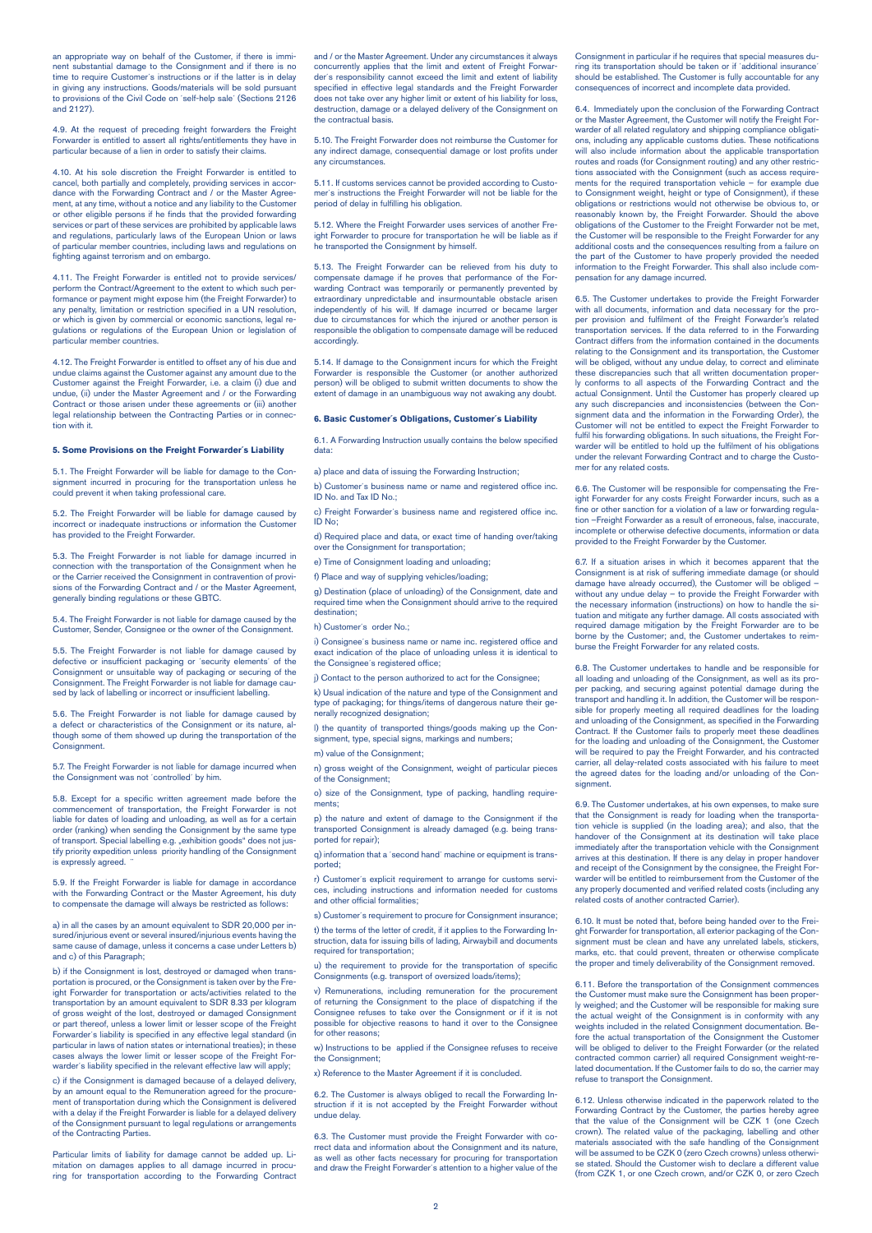an appropriate way on behalf of the Customer, if there is imminent substantial damage to the Consignment and if there is no time to require Customer´s instructions or if the latter is in delay in giving any instructions. Goods/materials will be sold pursuant to provisions of the Civil Code on ´self-help sale´ (Sections 2126 and 2127).

4.9. At the request of preceding freight forwarders the Freight Forwarder is entitled to assert all rights/entitlements they have in particular because of a lien in order to satisfy their claim

4.10. At his sole discretion the Freight Forwarder is entitled to cancel, both partially and completely, providing services in accor-dance with the Forwarding Contract and / or the Master Agreement, at any time, without a notice and any liability to the Customer or other eligible persons if he finds that the provided forwarding services or part of these services are prohibited by applicable laws and regulations, particularly laws of the European Union or laws of particular member countries, including laws and regulations on fighting against terrorism and on embargo.

4.11. The Freight Forwarder is entitled not to provide services/ perform the Contract/Agreement to the extent to which such performance or payment might expose him (the Freight Forwarder) to any penalty, limitation or restriction specified in a UN resolution, or which is given by commercial or economic sanctions, legal re-gulations or regulations of the European Union or legislation of particular member countries.

4.12. The Freight Forwarder is entitled to offset any of his due and undue claims against the Customer against any amount due to the Customer against the Freight Forwarder, i.e. a claim (i) due and undue, (ii) under the Master Agreement and / or the Forwarding Contract or those arisen under these agreements or (iii) another legal relationship between the Contracting Parties or in connection with it.

#### **5. Some Provisions on the Freight Forwarder´s Liability**

5.1. The Freight Forwarder will be liable for damage to the Consignment incurred in procuring for the transportation unless he could prevent it when taking professional care.

5.2. The Freight Forwarder will be liable for damage caused by incorrect or inadequate instructions or information the Customer has provided to the Freight Forwarder.

5.3. The Freight Forwarder is not liable for damage incurred in connection with the transportation of the Consignment when he or the Carrier received the Consignment in contravention of provisions of the Forwarding Contract and / or the Master Agreement, generally binding regulations or these GBTC.

5.4. The Freight Forwarder is not liable for damage caused by the Customer, Sender, Consignee or the owner of the Consignment.

5.5. The Freight Forwarder is not liable for damage caused by defective or insufficient packaging or 'security elements' of the Consignment or unsuitable way of packaging or securing of the Consignment. The Freight Forwarder is not liable for damage caused by lack of labelling or incorrect or insufficient labelling.

5.6. The Freight Forwarder is not liable for damage caused by a defect or characteristics of the Consignment or its nature, although some of them showed up during the transportation of the Consignment

5.7. The Freight Forwarder is not liable for damage incurred when the Consignment was not ´controlled´ by him.

5.8. Except for a specific written agreement made before the commencement of transportation, the Freight Forwarder is not liable for dates of loading and unloading, as well as for a certain order (ranking) when sending the Consignment by the same type of transport. Special labelling e.g. "exhibition goods" does not jus-<br>tify priority expedition unless priority handling of the Consignment is expressly agreed.

5.9. If the Freight Forwarder is liable for damage in accordance with the Forwarding Contract or the Master Agreement, his duty to compensate the damage will always be restricted as follows: to compensate the damage will always be restricted as follows:

a) in all the cases by an amount equivalent to SDR 20,000 per insured/injurious event or several insured/injurious events having the same cause of damage, unless it concerns a case under Letters b) and c) of this Paragraph;

b) if the Consignment is lost, destroyed or damaged when transportation is procured, or the Consignment is taken over by the Fre ight Forwarder for transportation or acts/activities related to the transportation by an amount equivalent to SDR 8.33 per kilogram of gross weight of the lost, destroyed or damaged Consignment or part thereof, unless a lower limit or lesser scope of the Freight Forwarder´s liability is specified in any effective legal standard (in particular in laws of nation states or international treaties); in these cases always the lower limit or lesser scope of the Freight Forwarder´s liability specified in the relevant effective law will apply;

c) if the Consignment is damaged because of a delayed delivery, by an amount equal to the Remuneration agreed for the procure ment of transportation during which the Consignment is delivered with a delay if the Freight Forwarder is liable for a delayed delivery of the Consignment pursuant to legal regulations or arrangements of the Contracting Parties.

Particular limits of liability for damage cannot be added up. Li-mitation on damages applies to all damage incurred in procu-ring for transportation according to the Forwarding Contract

and / or the Master Agreement. Under any circumstances it always concurrently applies that the limit and extent of Freight Forwarder´s responsibility cannot exceed the limit and extent of liability specified in effective legal standards and the Freight Forwarder does not take over any higher limit or extent of his liability for loss, destruction, damage or a delayed delivery of the Consignment on the contractual basis.

5.10. The Freight Forwarder does not reimburse the Customer for any indirect damage, consequential damage or lost profits under any circumstances.

5.11. If customs services cannot be provided according to Customer´s instructions the Freight Forwarder will not be liable for the period of delay in fulfilling his obligation.

5.12. Where the Freight Forwarder uses services of another Fre-ight Forwarder to procure for transportation he will be liable as if he transported the Consignment by himself.

5.13. The Freight Forwarder can be relieved from his duty to compensate damage if he proves that performance of the For-warding Contract was temporarily or permanently prevented by extraordinary unpredictable and insurmountable obstacle arisen independently of his will. If damage incurred or became larger due to circumstances for which the injured or another person responsible the obligation to compensate damage will be reduced accordingly.

5.14. If damage to the Consignment incurs for which the Freight Forwarder is responsible the Customer (or another authorized person) will be obliged to submit written documents to show the extent of damage in an unambiguous way not awaking any doubt.

# **6. Basic Customer´s Obligations, Customer´s Liability**

6.1. A Forwarding Instruction usually contains the below specified data:

a) place and data of issuing the Forwarding Instruction;

b) Customer's business name or name and registered office inc. ID No. and Tax ID No.;

c) Freight Forwarder's business name and registered office inc.  $\overline{1}$  No;

d) Required place and data, or exact time of handing over/taking over the Consignment for transportation;

e) Time of Consignment loading and unloading;

f) Place and way of supplying vehicles/loading:

g) Destination (place of unloading) of the Consignment, date and required time when the Consignment should arrive to the required destination;

h) Customer´s order No.;

i) Consignee's business name or name inc. registered office and exact indication of the place of unloading unless it is identical to the Consignee´s registered office;

j) Contact to the person authorized to act for the Consignee;

k) Usual indication of the nature and type of the Consignment and type of packaging; for things/items of dangerous nature their generally recognized designation;

l) the quantity of transported things/goods making up the Consignment, type, special signs, markings and numbers; m) value of the Consignment;

n) gross weight of the Consignment, weight of particular pieces of the Consignment;

o) size of the Consignment, type of packing, handling requirements;

p) the nature and extent of damage to the Consignment if the transported Consignment is already damaged (e.g. being transported for repair);

q) information that a ´second hand´ machine or equipment is transported;

r) Customer´s explicit requirement to arrange for customs services, including instructions and information needed for customs and other official formalities;

s) Customer's requirement to procure for Consignment insurance t) the terms of the letter of credit, if it applies to the Forwarding Instruction, data for issuing bills of lading, Airwaybill and documents required for transportation;

u) the requirement to provide for the transportation of specific Consignments (e.g. transport of oversized loads/items);

v) Remunerations, including remuneration for the procurement of returning the Consignment to the place of dispatching if the Consignee refuses to take over the Consignment or if it is not possible for objective reasons to hand it over to the Consignee for other reasons:

w) Instructions to be applied if the Consignee refuses to receive the Consignment:

x) Reference to the Master Agreement if it is concluded.

6.2. The Customer is always obliged to recall the Forwarding Instruction if it is not accepted by the Freight Forwarder without undue delay.

6.3. The Customer must provide the Freight Forwarder with correct data and information about the Consignment and its nature, as well as other facts necessary for procuring for transportation and draw the Freight Forwarder´s attention to a higher value of the Consignment in particular if he requires that special measures during its transportation should be taken or if ´additional insurance´ should be established. The Customer is fully accountable for any consequences of incorrect and incomplete data provided.

6.4. Immediately upon the conclusion of the Forwarding Contract or the Master Agreement, the Customer will notify the Freight Forwarder of all related regulatory and shipping compliance obligati-ons, including any applicable customs duties. These notifications will also include information about the applicable transportation routes and roads (for Consignment routing) and any other restrictions associated with the Consignment (such as access requirements for the required transportation vehicle – for example due to Consignment weight, height or type of Consignment), if these obligations or restrictions would not otherwise be obvious to, or reasonably known by, the Freight Forwarder. Should the above obligations of the Customer to the Freight Forwarder not be met, the Customer will be responsible to the Freight Forwarder for any additional costs and the consequences resulting from a failure on the part of the Customer to have properly provided the needed information to the Freight Forwarder. This shall also include compensation for any damage incurred.

6.5. The Customer undertakes to provide the Freight Forwarder with all documents, information and data necessary for the proper provision and fulfilment of the Freight Forwarder's re transportation services. If the data referred to in the Forwarding Contract differs from the information contained in the documents relating to the Consignment and its transportation, the Customer will be obliged, without any undue delay, to correct and eliminate these discrepancies such that all written documentation properly conforms to all aspects of the Forwarding Contract and the actual Consignment. Until the Customer has properly cleared up any such discrepancies and inconsistencies (between the Consignment data and the information in the Forwarding Order), the Customer will not be entitled to expect the Freight Forwarder to fulfil his forwarding obligations. In such situations, the Freight Forwarder will be entitled to hold up the fulfilment of his obligations under the relevant Forwarding Contract and to charge the Customer for any related costs.

6.6. The Customer will be responsible for compensating the Fre-ight Forwarder for any costs Freight Forwarder incurs, such as a fine or other sanction for a violation of a law or forwarding regulation –Freight Forwarder as a result of erroneous, false, inaccurate, incomplete or otherwise defective documents, information or data provided to the Freight Forwarder by the Customer.

6.7. If a situation arises in which it becomes apparent that the Consignment is at risk of suffering immediate damage (or should damage have already occurred), the Customer will be obliged – without any undue delay – to provide the Freight Forwarder with the necessary information (instructions) on how to handle the situation and mitigate any further damage. All costs associated with required damage mitigation by the Freight Forwarder are to be borne by the Customer; and, the Customer undertakes to reimburse the Freight Forwarder for any related costs.

6.8. The Customer undertakes to handle and be responsible for all loading and unloading of the Consignment, as well as its proper packing, and securing against potential damage during the transport and handling it. In addition, the Customer will be responsible for properly meeting all required deadlines for the loading and unloading of the Consignment, as specified in the Forwarding Contract. If the Customer fails to properly meet these deadlines for the loading and unloading of the Consignment, the Customer will be required to pay the Freight Forwarder, and his contracted carrier, all delay-related costs associated with his failure to meet the agreed dates for the loading and/or unloading of the Consignment.

6.9. The Customer undertakes, at his own expenses, to make sure that the Consignment is ready for loading when the transporta-tion vehicle is supplied (in the loading area); and also, that the handover of the Consignment at its destination will take place immediately after the transportation vehicle with the Consignment arrives at this destination. If there is any delay in proper handover and receipt of the Consignment by the consignee, the Freight For-warder will be entitled to reimbursement from the Customer of the any properly documented and verified related costs (including any related costs of another contracted Carrier).

6.10. It must be noted that, before being handed over to the Freight Forwarder for transportation, all exterior packaging of the Consignment must be clean and have any unrelated labels, stickers, marks, etc. that could prevent, threaten or otherwise complicate the proper and timely deliverability of the Consignment removed.

6.11. Before the transportation of the Consignment commences the Customer must make sure the Consignment has been properly weighed; and the Customer will be responsible for making sure the actual weight of the Consignment is in conformity with any weights included in the related Consignment documentation. Be-fore the actual transportation of the Consignment the Customer will be obliged to deliver to the Freight Forwarder (or the related contracted common carrier) all required Consignment weight-related documentation. If the Customer fails to do so, the carrier may refuse to transport the Consignment.

6.12. Unless otherwise indicated in the paperwork related to the Forwarding Contract by the Customer, the parties hereby agree that the value of the Consignment will be CZK 1 (one Czech crown). The related value of the packaging, labelling and other aterials associated with the safe handling of the Consignment will be assumed to be CZK 0 (zero Czech crowns) unless otherwi-se stated. Should the Customer wish to declare a different value (from CZK 1, or one Czech crown, and/or CZK 0, or zero Czech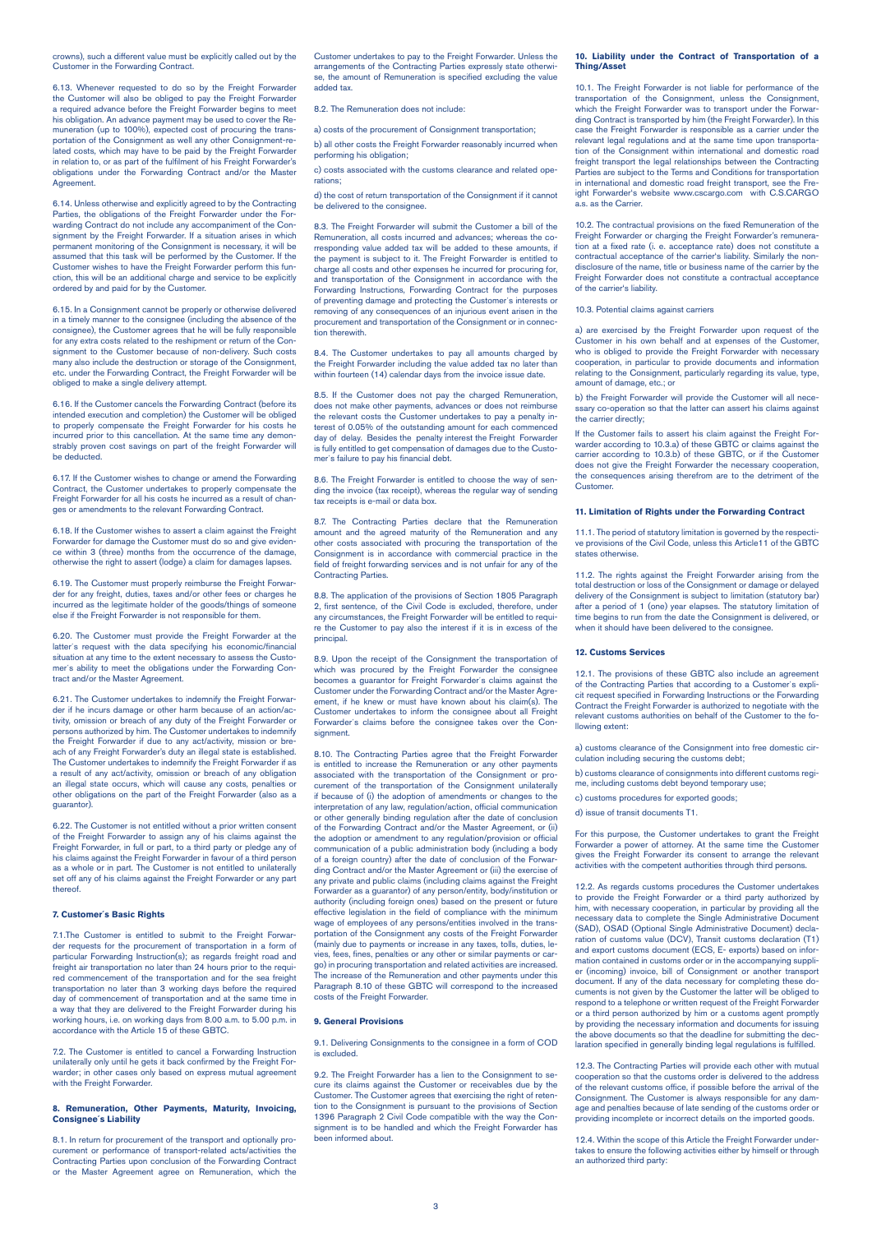crowns), such a different value must be explicitly called out by the Customer in the Forwarding Contract.

6.13. Whenever requested to do so by the Freight Forwarder the Customer will also be obliged to pay the Freight Forwarder a required advance before the Freight Forwarder begins to meet his obligation. An advance payment may be used to cover the Remuneration (up to 100%), expected cost of procuring the transportation of the Consignment as well any other Consignment-related costs, which may have to be paid by the Freight Forwarder in relation to, or as part of the fulfilment of his Freight Forwarder's obligations under the Forwarding Contract and/or the Master **Agreement** 

6.14. Unless otherwise and explicitly agreed to by the Contracting Parties, the obligations of the Freight Forwarder under the Forwarding Contract do not include any accompaniment of the Con-signment by the Freight Forwarder. If a situation arises in which permanent monitoring of the Consignment is necessary, it will be assumed that this task will be performed by the Customer. If the Customer wishes to have the Freight Forwarder perform this function, this will be an additional charge and service to be explicitly ordered by and paid for by the Customer.

6.15. In a Consignment cannot be properly or otherwise delivered in a timely manner to the consignee (including the absence of the consignee), the Customer agrees that he will be fully responsible for any extra costs related to the reshipment or return of the Consignment to the Customer because of non-delivery. Such costs many also include the destruction or storage of the Consignment, etc. under the Forwarding Contract, the Freight Forwarder will be obliged to make a single delivery attempt.

6.16. If the Customer cancels the Forwarding Contract (before its intended execution and completion) the Customer will be obliged to properly compensate the Freight Forwarder for his costs he incurred prior to this cancellation. At the same time any demonstrably proven cost savings on part of the freight Forwarder will be deducted.

6.17. If the Customer wishes to change or amend the Forwarding Contract, the Customer undertakes to properly compensate the Freight Forwarder for all his costs he incurred as a result of changes or amendments to the relevant Forwarding Contract

6.18. If the Customer wishes to assert a claim against the Freight Forwarder for damage the Customer must do so and give eviden-ce within 3 (three) months from the occurrence of the damage, otherwise the right to assert (lodge) a claim for damages lapses.

6.19. The Customer must properly reimburse the Freight Forwarder for any freight, duties, taxes and/or other fees or charges he incurred as the legitimate holder of the goods/things of someone else if the Freight Forwarder is not responsible for them.

6.20. The Customer must provide the Freight Forwarder at the latter´s request with the data specifying his economic/financial situation at any time to the extent necessary to assess the Custo-mer´s ability to meet the obligations under the Forwarding Contract and/or the Master Agreement.

6.21. The Customer undertakes to indemnify the Freight Forwarder if he incurs damage or other harm because of an action/ac-tivity, omission or breach of any duty of the Freight Forwarder or persons authorized by him. The Customer undertakes to indemnify the Freight Forwarder if due to any act/activity, mission or breach of any Freight Forwarder's duty an illegal state is established. The Customer undertakes to indemnify the Freight Forwarder if as a result of any act/activity, omission or breach of any obligation an illegal state occurs, which will cause any costs, penalties or other obligations on the part of the Freight Forwarder (also as a guarantor).

6.22. The Customer is not entitled without a prior written consent of the Freight Forwarder to assign any of his claims against the Freight Forwarder, in full or part, to a third party or pledge any of his claims against the Freight Forwarder in favour of a third person as a whole or in part. The Customer is not entitled to unilaterally set off any of his claims against the Freight Forwarder or any part thereof.

#### **7. Customer´s Basic Rights**

7.1.The Customer is entitled to submit to the Freight Forwarder requests for the procurement of transportation in a form of particular Forwarding Instruction(s); as regards freight road and freight air transportation no later than 24 hours prior to the required commencement of the transportation and for the sea freight transportation no later than 3 working days before the required day of commencement of transportation and at the same time in a way that they are delivered to the Freight Forwarder during his working hours, i.e. on working days from 8.00 a.m. to 5.00 p.m. in accordance with the Article 15 of these GBTC.

7.2. The Customer is entitled to cancel a Forwarding Instruction unilaterally only until he gets it back confirmed by the Freight Forwarder; in other cases only based on express mutual agree with the Freight Forwarder.

#### **8. Remuneration, Other Payments, Maturity, Invoicing, Consignee´s Liability**

8.1. In return for procurement of the transport and optionally procurement or performance of transport-related acts/activities the Contracting Parties upon conclusion of the Forwarding Contract or the Master Agreement agree on Remuneration, which the

Customer undertakes to pay to the Freight Forwarder. Unless the arrangements of the Contracting Parties expressly state otherwise, the amount of Remuneration is specified excluding the value added tax.

8.2. The Remuneration does not include:

a) costs of the procurement of Consignment transportation;

b) all other costs the Freight Forwarder reasonably incurred when performing his obligation;

c) costs associated with the customs clearance and related operations;

d) the cost of return transportation of the Consignment if it cannot be delivered to the consignee.

8.3. The Freight Forwarder will submit the Customer a bill of the Remuneration, all costs incurred and advances; whereas the corresponding value added tax will be added to these amounts, if the payment is subject to it. The Freight Forwarder is entitled to charge all costs and other expenses he incurred for procuring for, and transportation of the Consignment in accordance with the Forwarding Instructions, Forwarding Contract for the purposes of preventing damage and protecting the Customer´s interests or removing of any consequences of an injurious event arisen in the procurement and transportation of the Consignment or in connection therewith.

8.4. The Customer undertakes to pay all amounts charged by the Freight Forwarder including the value added tax no later than within fourteen (14) calendar days from the invoice issue date.

8.5. If the Customer does not pay the charged Remuneration, does not make other payments, advances or does not reimburse the relevant costs the Customer undertakes to pay a penalty interest of 0.05% of the outstanding amount for each commenced day of delay. Besides the penalty interest the Freight Forwarder is fully entitled to get compensation of damages due to the Customer´s failure to pay his financial debt.

8.6. The Freight Forwarder is entitled to choose the way of sending the invoice (tax receipt), whereas the regular way of sending tax receipts is e-mail or data box.

8.7. The Contracting Parties declare that the Remuneration amount and the agreed maturity of the Remuneration and any other costs associated with procuring the transportation of the Consignment is in accordance with commercial practice in the field of freight forwarding services and is not unfair for any of the Contracting Parties.

8.8. The application of the provisions of Section 1805 Paragraph 2, first sentence, of the Civil Code is excluded, therefore, under any circumstances, the Freight Forwarder will be entitled to require the Customer to pay also the interest if it is in excess of the principal.

8.9. Upon the receipt of the Consignment the transportation of which was procured by the Freight Forwarder the consignee becomes a guarantor for Freight Forwarder´s claims against the Customer under the Forwarding Contract and/or the Master Agreement, if he knew or must have known about his claim(s). The Customer undertakes to inform the consignee about all Freight Forwarder´s claims before the consignee takes over the Consignment.

8.10. The Contracting Parties agree that the Freight Forwarder is entitled to increase the Remuneration or any other payments associated with the transportation of the Consignment or procurement of the transportation of the Consignment unilaterally if because of (i) the adoption of amendments or changes to the interpretation of any law, regulation/action, official communication or other generally binding regulation after the date of conclusion of the Forwarding Contract and/or the Master Agreement, or (ii) the adoption or amendment to any regulation/provision or official communication of a public administration body (including a body of a foreign country) after the date of conclusion of the Forwarding Contract and/or the Master Agreement or (iii) the exercise of any private and public claims (including claims against the Freight Forwarder as a guarantor) of any person/entity, body/institution or authority (including foreign ones) based on the present or future effective legislation in the field of compliance with the minimum wage of employees of any persons/entities involved in the transportation of the Consignment any costs of the Freight Forwarder (mainly due to payments or increase in any taxes, tolls, duties, le-vies, fees, fines, penalties or any other or similar payments or cargo) in procuring transportation and related activities are increased. The increase of the Remuneration and other payments under this Paragraph 8.10 of these GBTC will correspond to the increased costs of the Freight Forwarder.

# **9. General Provisions**

9.1. Delivering Consignments to the consignee in a form of COD is excluded.

9.2. The Freight Forwarder has a lien to the Consignment to secure its claims against the Customer or receivables due by the Customer. The Customer agrees that exercising the right of reten-tion to the Consignment is pursuant to the provisions of Section 1396 Paragraph 2 Civil Code compatible with the way the Consignment is to be handled and which the Freight Forwarder has been informed about.

# **10. Liability under the Contract of Transportation of a Thing/Asset**

10.1. The Freight Forwarder is not liable for performance of the transportation of the Consignment, unless the Consignment, which the Freight Forwarder was to transport under the Forwarding Contract is transported by him (the Freight Forwarder). In this case the Freight Forwarder is responsible as a carrier under the relevant legal regulations and at the same time upon transportation of the Consignment within international and domestic road freight transport the legal relationships between the Contracting Parties are subject to the Terms and Conditions for transportation in international and domestic road freight transport, see the Freight Forwarder's website www.cscargo.com with C.S.CARGO a.s. as the Carrier.

10.2. The contractual provisions on the fixed Remuneration of the Freight Forwarder or charging the Freight Forwarder's remuneration at a fixed rate (i. e. acceptance rate) does not constitute a contractual acceptance of the carrier's liability. Similarly the non-disclosure of the name, title or business name of the carrier by the Freight Forwarder does not constitute a contractual acceptance of the carrier's liability.

# 10.3. Potential claims against carriers

a) are exercised by the Freight Forwarder upon request of the Customer in his own behalf and at expenses of the Customer, who is obliged to provide the Freight Forwarder with necessary cooperation, in particular to provide documents and information relating to the Consignment, particularly regarding its value, type, amount of damage, etc.; or

b) the Freight Forwarder will provide the Customer will all necessary co-operation so that the latter can assert his claims against the carrier directly;

If the Customer fails to assert his claim against the Freight For-warder according to 10.3.a) of these GBTC or claims against the carrier according to 10.3.b) of these GBTC, or if the Customer does not give the Freight Forwarder the necessary cooperation, the consequences arising therefrom are to the detriment of the equences arising therefrom are to the detriment of the Customer.

#### **11. Limitation of Rights under the Forwarding Contract**

11.1. The period of statutory limitation is governed by the respective provisions of the Civil Code, unless this Article11 of the GBTC states otherwise.

11.2. The rights against the Freight Forwarder arising from the total destruction or loss of the Consignment or damage or delayed delivery of the Consignment is subject to limitation (statutory bar) after a period of 1 (one) year elapses. The statutory limitation of time begins to run from the date the Consignment is delivered, or when it should have been delivered to the consignee.

#### **12. Customs Services**

12.1. The provisions of these GBTC also include an agreement of the Contracting Parties that according to a Customer´s expli-cit request specified in Forwarding Instructions or the Forwarding Contract the Freight Forwarder is authorized to negotiate with the relevant customs authorities on behalf of the Customer to the following extent:

a) customs clearance of the Consignment into free domestic circulation including securing the customs debt;

b) customs clearance of consignments into different customs regime, including customs debt beyond temporary use;

c) customs procedures for exported goods;

d) issue of transit documents T1.

For this purpose, the Customer undertakes to grant the Freight Forwarder a power of attorney. At the same time the Customer gives the Freight Forwarder its consent to arrange the relevant activities with the competent authorities through third persons.

12.2. As regards customs procedures the Customer undertakes to provide the Freight Forwarder or a third party authorized by him, with necessary cooperation, in particular by providing all the necessary data to complete the Single Administrative Document (SAD), OSAD (Optional Single Administrative Document) decla-ration of customs value (DCV), Transit customs declaration (T1) and export customs document (ECS, E- exports) based on information contained in customs order or in the accompanying suppli-er (incoming) invoice, bill of Consignment or another transport document. If any of the data necessary for completing these do-cuments is not given by the Customer the latter will be obliged to respond to a telephone or written request of the Freight Forwarder or a third person authorized by him or a customs agent promptly by providing the necessary information and documents for issuing the above documents so that the deadline for submitting the declaration specified in generally binding legal regulations is fulfilled.

12.3. The Contracting Parties will provide each other with mutual cooperation so that the customs order is delivered to the address of the relevant customs office, if possible before the arrival of the Consignment. The Customer is always responsible for any damage and penalties because of late sending of the customs order or providing incomplete or incorrect details on the imported goods.

12.4. Within the scope of this Article the Freight Forwarder undertakes to ensure the following activities either by himself or through an authorized third party: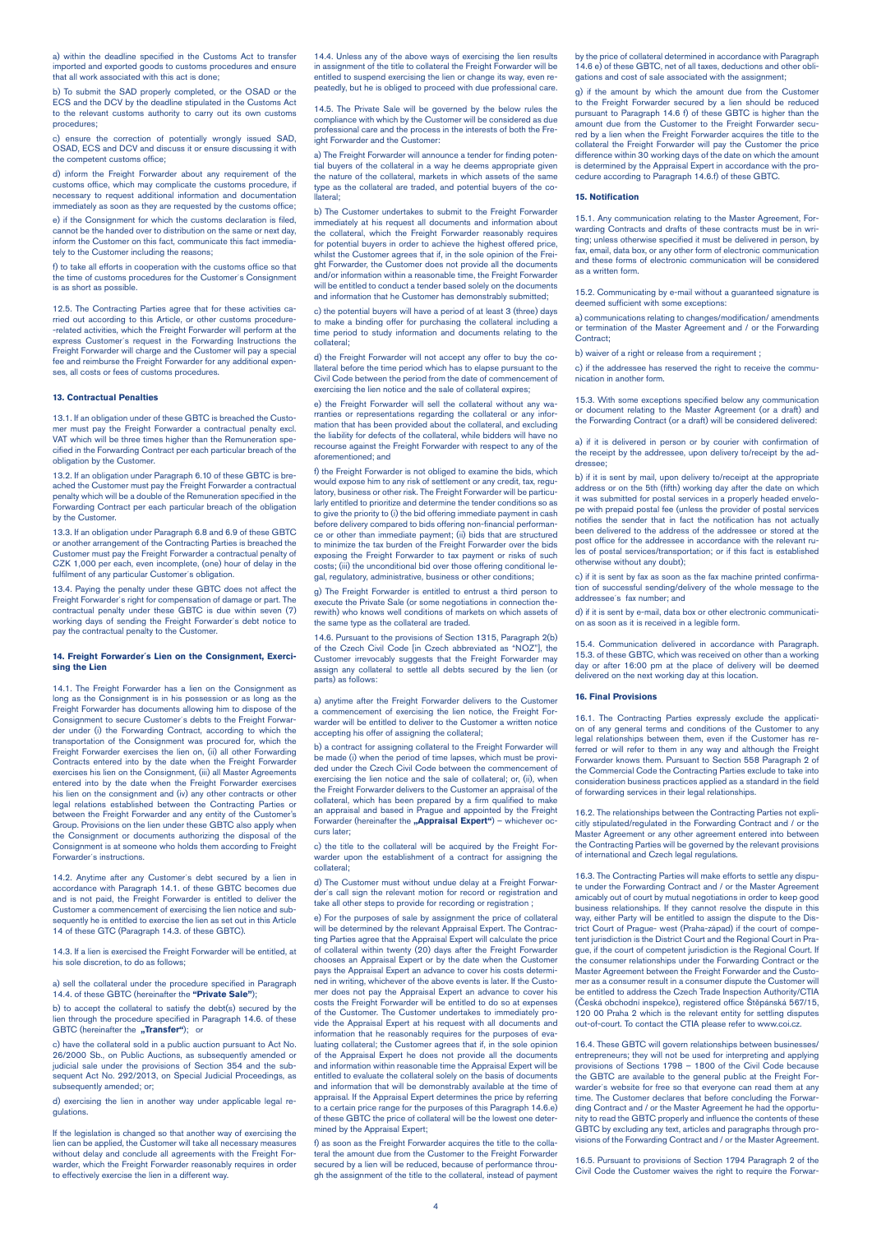a) within the deadline specified in the Customs Act to transfer imported and exported goods to customs procedures and ensure that all work associated with this act is done;

b) To submit the SAD properly completed, or the OSAD or the ECS and the DCV by the deadline stipulated in the Customs Act to the relevant customs authority to carry out its own customs procedures;

c) ensure the correction of potentially wrongly issued SAD, OSAD, ECS and DCV and discuss it or ensure discussing it with the competent customs office;

d) inform the Freight Forwarder about any requirement of the customs office, which may complicate the customs procedure, if necessary to request additional information and documentation immediately as soon as they are requested by the customs office;

e) if the Consignment for which the customs declaration is filed. cannot be the handed over to distribution on the same or next day, inform the Customer on this fact, communicate this fact immediately to the Customer including the reasons;

f) to take all efforts in cooperation with the customs office so that the time of customs procedures for the Customer´s Consignment is as short as possible.

12.5. The Contracting Parties agree that for these activities carried out according to this Article, or other customs procedure- -related activities, which the Freight Forwarder will perform at the express Customer´s request in the Forwarding Instructions the Freight Forwarder will charge and the Customer will pay a special fee and reimburse the Freight Forwarder for any additional expenses, all costs or fees of customs procedures.

## **13. Contractual Penalties**

13.1. If an obligation under of these GBTC is breached the Customer must pay the Freight Forwarder a contractual penalty excl. VAT which will be three times higher than the Remuneration specified in the Forwarding Contract per each particular breach of the obligation by the Custo

13.2. If an obligation under Paragraph 6.10 of these GBTC is breached the Customer must pay the Freight Forwarder a contractual penalty which will be a double of the Remuneration specified in the Forwarding Contract per each particular breach of the obligation by the Customer.

13.3. If an obligation under Paragraph 6.8 and 6.9 of these GBTC or another arrangement of the Contracting Parties is breached the Customer must pay the Freight Forwarder a contractual penalty of CZK 1,000 per each, even incomplete, (one) hour of delay in the fulfilment of any particular Customer's obligation.

13.4. Paying the penalty under these GBTC does not affect the Freight Forwarder´s right for compensation of damage or part. The contractual penalty under these GBTC is due within seven (7) working days of sending the Freight Forwarder´s debt notice to pay the contractual penalty to the Customer.

#### **14. Freight Forwarder´s Lien on the Consignment, Exercising the Lien**

14.1. The Freight Forwarder has a lien on the Consignment as long as the Consignment is in his possession or as long as the Freight Forwarder has documents allowing him to dispose of the Consignment to secure Customer´s debts to the Freight Forwarder under (i) the Forwarding Contract, according to which the transportation of the Consignment was procured for, which the Freight Forwarder exercises the lien on, (ii) all other Forwarding Contracts entered into by the date when the Freight Forwarder exercises his lien on the Consignment, (iii) all Master Agreements entered into by the date when the Freight Forwarder exercises his lien on the consignment and (iv) any other contracts or other legal relations established between the Contracting Parties or between the Freight Forwarder and any entity of the Customer's Group. Provisions on the lien under these GBTC also apply when the Consignment or documents authorizing the disposal of the Consignment is at someone who holds them according to Freight Forwarder´s instructions.

14.2. Anytime after any Customer´s debt secured by a lien in accordance with Paragraph 14.1. of these GBTC becomes due and is not paid, the Freight Forwarder is entitled to deliver the Customer a commencement of exercising the lien notice and subsections: a common<br>equently he is entitled to exercise the lien as set out in this Article 14 of these GTC (Paragraph 14.3. of these GBTC).

14.3. If a lien is exercised the Freight Forwarder will be entitled, at his sole discretion, to do as follows;

a) sell the collateral under the procedure specified in Paragraph 14.4. of these GBTC (hereinafter the **"Private Sale"**);

b) to accept the collateral to satisfy the debt(s) secured by the lien through the procedure specified in Paragraph 14.6. of these GBTC (hereinafter the **"Transfer"**); or

c) have the collateral sold in a public auction pursuant to Act No. 26/2000 Sb., on Public Auctions, as subsequently amended or judicial sale under the provisions of Section 354 and the subsequent Act No. 292/2013, on Special Judicial Proceedings, as subsequently amended; or:

d) exercising the lien in another way under applicable legal regulations.

If the legislation is changed so that another way of exercising the lien can be applied, the Customer will take all necessary measures without delay and conclude all agreements with the Freight Forwarder, which the Freight Forwarder reasonably requires in order to effectively exercise the lien in a different way.

14.4. Unless any of the above ways of exercising the lien results in assignment of the title to collateral the Freight Forwarder will be entitled to suspend exercising the lien or change its way, even repeatedly, but he is obliged to proceed with due professional care.

14.5. The Private Sale will be governed by the below rules the compliance with which by the Customer will be considered as due professional care and the process in the interests of both the Freight Forwarder and the Customer:

a) The Freight Forwarder will announce a tender for finding potential buyers of the collateral in a way he deems appropriate given the nature of the collateral, markets in which assets of the same type as the collateral are traded, and potential buyers of the collateral:

b) The Customer undertakes to submit to the Freight Forwarder immediately at his request all documents and information about the collateral, which the Freight Forwarder reasonably requires for potential buyers in order to achieve the highest offered price, whilst the Customer agrees that if, in the sole opinion of the Freiwhilst the Oustomer agrees that it, in the sole opinion of the Frei<br>ght Forwarder, the Customer does not provide all the documents and/or information within a reasonable time, the Freight Forwarder will be entitled to conduct a tender based solely on the documents and information that he Customer has demonstrably submitted;

c) the potential buyers will have a period of at least 3 (three) days to make a binding offer for purchasing the collateral including a time period to study information and documents relating to the collateral;

d) the Freight Forwarder will not accept any offer to buy the collateral before the time period which has to elapse pursuant to the Civil Code between the period from the date of commencement of exercising the lien notice and the sale of collateral expires;

e) the Freight Forwarder will sell the collateral without any warranties or representations regarding the collateral or any mation that has been provided about the collateral, and excluding the liability for defects of the collateral, while bidders will have no recourse against the Freight Forwarder with respect to any of the aforementioned; and

f) the Freight Forwarder is not obliged to examine the bids, which would expose him to any risk of settlement or any credit, tax, regu-latory, business or other risk. The Freight Forwarder will be particularly entitled to prioritize and determine the tender conditions so as to give the priority to (i) the bid offering immediate payment in cash before delivery compared to bids offering non-financial performance or other than immediate payment; (ii) bids that are structured to minimize the tax burden of the Freight Forwarder over the bids exposing the Freight Forwarder to tax payment or risks of such costs; (iii) the unconditional bid over those offering conditional legal, regulatory, administrative, business or other conditions;

g) The Freight Forwarder is entitled to entrust a third person to execute the Private Sale (or some negotiations in connection therewith) who knows well conditions of markets on which assets of the same type as the collateral are traded.

14.6. Pursuant to the provisions of Section 1315, Paragraph 2(b) of the Czech Civil Code [in Czech abbreviated as "NOZ"], the Customer irrevocably suggests that the Freight Forwarder may assign any collateral to settle all debts secured by the lien (or parts) as follows:

a) anytime after the Freight Forwarder delivers to the Customer a commencement of exercising the lien notice, the Freight Forwarder will be entitled to deliver to the Customer a written notice accepting his offer of assigning the collateral;

b) a contract for assigning collateral to the Freight Forwarder will be made (i) when the period of time lapses, which must be provided under the Czech Civil Code between the commencement of exercising the lien notice and the sale of collateral; or, (ii), when the Freight Forwarder delivers to the Customer an appraisal of the collateral, which has been prepared by a firm qualified to make an appraisal and based in Prague and appointed by the Freight Forwarder (hereinafter the "Appraisal Expert") – whichever curs later;

c) the title to the collateral will be acquired by the Freight Forwarder upon the establishment of a contract for assigning the collateral;

d) The Customer must without undue delay at a Freight Forwarder's call sign the relevant motion for record or registration and take all other steps to provide for recording or registration ;

e) For the purposes of sale by assignment the price of collateral will be determined by the relevant Appraisal Expert. The Contracting Parties agree that the Appraisal Expert will calculate the price of collateral within twenty (20) days after the Freight Forwarder chooses an Appraisal Expert or by the date when the Customer pays the Appraisal Expert an advance to cover his costs determined in writing, whichever of the above events is later. If the Customer does not pay the Appraisal Expert an advance to cover his costs the Freight Forwarder will be entitled to do so at expenses of the Customer. The Customer undertakes to immediately provide the Appraisal Expert at his request with all documents and information that he reasonably requires for the purposes of evaluating collateral; the Customer agrees that if, in the sole opinion of the Appraisal Expert he does not provide all the documents and information within reasonable time the Appraisal Expert will be entitled to evaluate the collateral solely on the basis of documents and information that will be demonstrably available at the time of appraisal. If the Appraisal Expert determines the price by referring to a certain price range for the purposes of this Paragraph 14.6.e) of these GBTC the price of collateral will be the lowest one determined by the Appraisal Expert;

f) as soon as the Freight Forwarder acquires the title to the collateral the amount due from the Customer to the Freight Forwarder secured by a lien will be reduced, because of performance through the assignment of the title to the collateral, instead of payment by the price of collateral determined in accordance with Paragraph 14.6 e) of these GBTC, net of all taxes, deductions and other obligations and cost of sale associated with the assignment;

g) if the amount by which the amount due from the Customer to the Freight Forwarder secured by a lien should be reduced pursuant to Paragraph 14.6 f) of these GBTC is higher than the amount due from the Customer to the Freight Forwarder secured by a lien when the Freight Forwarder acquires the title to the collateral the Freight Forwarder will pay the Customer the price difference within 30 working days of the date on which the amount is determined by the Appraisal Expert in accordance with the procedure according to Paragraph 14.6.f) of these GBTC.

#### **15. Notification**

15.1. Any communication relating to the Master Agreement, Forwarding Contracts and drafts of these contracts must be in writing; unless otherwise specified it must be delivered in person, by fax, email, data box, or any other form of electronic communication and these forms of electronic communication will be considered as a written form.

15.2. Communicating by e-mail without a guaranteed signature is deemed sufficient with some exceptions:

a) communications relating to changes/modification/ amendments or termination of the Master Agreement and / or the Forwarding Contract;

b) waiver of a right or release from a requirement ;

c) if the addressee has reserved the right to receive the communication in another form.

15.3. With some exceptions specified below any communication or document relating to the Master Agreement (or a draft) and the Forwarding Contract (or a draft) will be considered delivered:

a) if it is delivered in person or by courier with confirmation of the receipt by the addressee, upon delivery to/receipt by the addressee

b) if it is sent by mail, upon delivery to/receipt at the appropriate address or on the 5th (fifth) working day after the date on which it was submitted for postal services in a properly headed envelope with prepaid postal fee (unless the provider of postal services notifies the sender that in fact the notification has not actually been delivered to the address of the addressee or stored at the post office for the addressee in accordance with the relevant rules of postal services/transportation; or if this fact is established otherwise without any doubt);

c) if it is sent by fax as soon as the fax machine printed confirmation of successful sending/delivery of the whole message to the addressee´s fax number; and

d) if it is sent by e-mail, data box or other electronic communication as soon as it is received in a legible form.

15.4. Communication delivered in accordance with Paragraph. 15.3. of these GBTC, which was received on other than a working day or after 16:00 pm at the place of delivery will be deemed delivered on the next working day at this location.

# **16. Final Provisions**

16.1. The Contracting Parties expressly exclude the applicati-on of any general terms and conditions of the Customer to any legal relationships between them, even if the Customer has referred or will refer to them in any way and although the Freight Forwarder knows them. Pursuant to Section 558 Paragraph 2 of the Commercial Code the Contracting Parties exclude to take into consideration business practices applied as a standard in the field of forwarding services in their legal relationships.

16.2. The relationships between the Contracting Parties not explicitly stipulated/regulated in the Forwarding Contract and / or the Master Agreement or any other agreement entered into between the Contracting Parties will be governed by the relevant provisions of international and Czech legal regulations.

16.3. The Contracting Parties will make efforts to settle any dispute under the Forwarding Contract and / or the Master Agreement amicably out of court by mutual negotiations in order to keep good business relationships. If they cannot resolve the dispute in way, either Party will be entitled to assign the dispute to the District Court of Prague- west (Praha-západ) if the court of compe-tent jurisdiction is the District Court and the Regional Court in Pra-gue, if the court of competent jurisdiction is the Regional Court. If the consumer relationships under the Forwarding Contract or the Master Agreement between the Freight Forwarder and the Customer as a consumer result in a consumer dispute the Customer will be entitled to address the Czech Trade Inspection Authority/CTIA (Česká obchodní inspekce), registered office Štěpánská 567/15, 120 00 Praha 2 which is the relevant entity for settling disputes out-of-court. To contact the CTIA please refer to www.coi.cz.

16.4. These GBTC will govern relationships between businesses/ entrepreneurs; they will not be used for interpreting and applying provisions of Sections 1798 – 1800 of the Civil Code because the GBTC are available to the general public at the Freight Forwarder´s website for free so that everyone can read them at any time. The Customer declares that before concluding the Forwarding Contract and / or the Master Agreement he had the opportunity to read the GBTC properly and influence the contents of these GBTC by excluding any text, articles and paragraphs through pro-visions of the Forwarding Contract and / or the Master Agreement.

16.5. Pursuant to provisions of Section 1794 Paragraph 2 of the Civil Code the Customer waives the right to require the Forwar